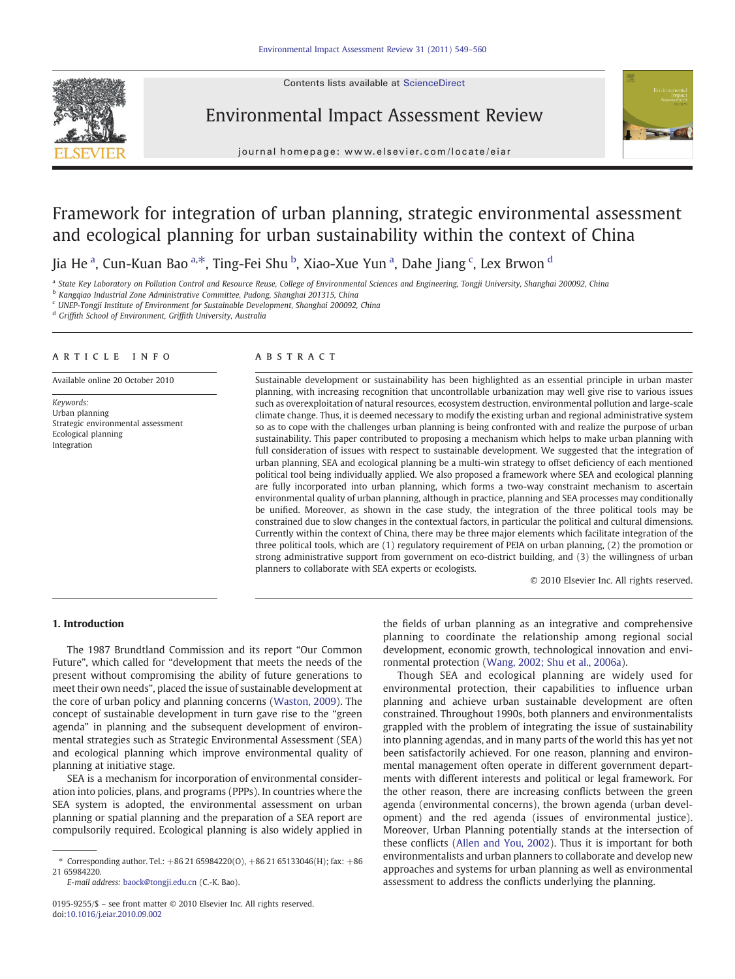Contents lists available at ScienceDirect



## Environmental Impact Assessment Review



journal homepage: www.elsevier.com/locate/eiar

# Framework for integration of urban planning, strategic environmental assessment and ecological planning for urban sustainability within the context of China

### Jia He <sup>a</sup>, Cun-Kuan Bao <sup>a,\*</sup>, Ting-Fei Shu <sup>b</sup>, Xiao-Xue Yun <sup>a</sup>, Dahe Jiang <sup>c</sup>, Lex Brwon <sup>d</sup>

<sup>a</sup> State Key Laboratory on Pollution Control and Resource Reuse, College of Environmental Sciences and Engineering, Tongji University, Shanghai 200092, China

<sup>b</sup> Kangqiao Industrial Zone Administrative Committee, Pudong, Shanghai 201315, China

<sup>c</sup> UNEP-Tongji Institute of Environment for Sustainable Development, Shanghai 200092, China

<sup>d</sup> Griffith School of Environment, Griffith University, Australia

#### article info abstract

Available online 20 October 2010

Keywords: Urban planning Strategic environmental assessment Ecological planning Integration

Sustainable development or sustainability has been highlighted as an essential principle in urban master planning, with increasing recognition that uncontrollable urbanization may well give rise to various issues such as overexploitation of natural resources, ecosystem destruction, environmental pollution and large-scale climate change. Thus, it is deemed necessary to modify the existing urban and regional administrative system so as to cope with the challenges urban planning is being confronted with and realize the purpose of urban sustainability. This paper contributed to proposing a mechanism which helps to make urban planning with full consideration of issues with respect to sustainable development. We suggested that the integration of urban planning, SEA and ecological planning be a multi-win strategy to offset deficiency of each mentioned political tool being individually applied. We also proposed a framework where SEA and ecological planning are fully incorporated into urban planning, which forms a two-way constraint mechanism to ascertain environmental quality of urban planning, although in practice, planning and SEA processes may conditionally be unified. Moreover, as shown in the case study, the integration of the three political tools may be constrained due to slow changes in the contextual factors, in particular the political and cultural dimensions. Currently within the context of China, there may be three major elements which facilitate integration of the three political tools, which are (1) regulatory requirement of PEIA on urban planning, (2) the promotion or strong administrative support from government on eco-district building, and (3) the willingness of urban planners to collaborate with SEA experts or ecologists.

© 2010 Elsevier Inc. All rights reserved.

### 1. Introduction

The 1987 Brundtland Commission and its report "Our Common Future", which called for "development that meets the needs of the present without compromising the ability of future generations to meet their own needs", placed the issue of sustainable development at the core of urban policy and planning concerns ([Waston, 2009](#page--1-0)). The concept of sustainable development in turn gave rise to the "green agenda" in planning and the subsequent development of environmental strategies such as Strategic Environmental Assessment (SEA) and ecological planning which improve environmental quality of planning at initiative stage.

SEA is a mechanism for incorporation of environmental consideration into policies, plans, and programs (PPPs). In countries where the SEA system is adopted, the environmental assessment on urban planning or spatial planning and the preparation of a SEA report are compulsorily required. Ecological planning is also widely applied in

E-mail address: [baock@tongji.edu.cn](mailto:baock@tongji.edu.cn) (C.-K. Bao).

the fields of urban planning as an integrative and comprehensive planning to coordinate the relationship among regional social development, economic growth, technological innovation and environmental protection ([Wang, 2002; Shu et al., 2006a\)](#page--1-0).

Though SEA and ecological planning are widely used for environmental protection, their capabilities to influence urban planning and achieve urban sustainable development are often constrained. Throughout 1990s, both planners and environmentalists grappled with the problem of integrating the issue of sustainability into planning agendas, and in many parts of the world this has yet not been satisfactorily achieved. For one reason, planning and environmental management often operate in different government departments with different interests and political or legal framework. For the other reason, there are increasing conflicts between the green agenda (environmental concerns), the brown agenda (urban development) and the red agenda (issues of environmental justice). Moreover, Urban Planning potentially stands at the intersection of these conflicts ([Allen and You, 2002\)](#page--1-0). Thus it is important for both environmentalists and urban planners to collaborate and develop new approaches and systems for urban planning as well as environmental assessment to address the conflicts underlying the planning.

<sup>\*</sup> Corresponding author. Tel.:  $+862165984220(0)$ ,  $+862165133046(H)$ ; fax:  $+86$ 21 65984220.

<sup>0195-9255/\$</sup> – see front matter © 2010 Elsevier Inc. All rights reserved. doi:[10.1016/j.eiar.2010.09.002](http://dx.doi.org/10.1016/j.eiar.2010.09.002)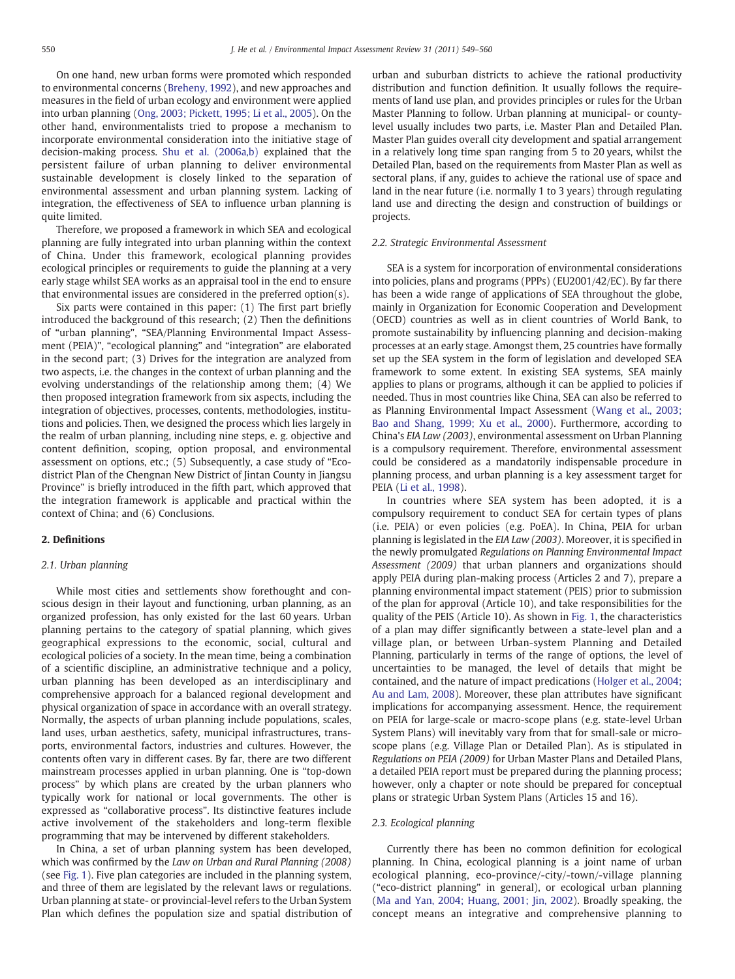On one hand, new urban forms were promoted which responded to environmental concerns ([Breheny, 1992\)](#page--1-0), and new approaches and measures in the field of urban ecology and environment were applied into urban planning ([Ong, 2003; Pickett, 1995; Li et al., 2005\)](#page--1-0). On the other hand, environmentalists tried to propose a mechanism to incorporate environmental consideration into the initiative stage of decision-making process. [Shu et al. \(2006a,b\)](#page--1-0) explained that the persistent failure of urban planning to deliver environmental sustainable development is closely linked to the separation of environmental assessment and urban planning system. Lacking of integration, the effectiveness of SEA to influence urban planning is quite limited.

Therefore, we proposed a framework in which SEA and ecological planning are fully integrated into urban planning within the context of China. Under this framework, ecological planning provides ecological principles or requirements to guide the planning at a very early stage whilst SEA works as an appraisal tool in the end to ensure that environmental issues are considered in the preferred option(s).

Six parts were contained in this paper: (1) The first part briefly introduced the background of this research; (2) Then the definitions of "urban planning", "SEA/Planning Environmental Impact Assessment (PEIA)", "ecological planning" and "integration" are elaborated in the second part; (3) Drives for the integration are analyzed from two aspects, i.e. the changes in the context of urban planning and the evolving understandings of the relationship among them; (4) We then proposed integration framework from six aspects, including the integration of objectives, processes, contents, methodologies, institutions and policies. Then, we designed the process which lies largely in the realm of urban planning, including nine steps, e. g. objective and content definition, scoping, option proposal, and environmental assessment on options, etc.; (5) Subsequently, a case study of "Ecodistrict Plan of the Chengnan New District of Jintan County in Jiangsu Province" is briefly introduced in the fifth part, which approved that the integration framework is applicable and practical within the context of China; and (6) Conclusions.

### 2. Definitions

#### 2.1. Urban planning

While most cities and settlements show forethought and conscious design in their layout and functioning, urban planning, as an organized profession, has only existed for the last 60 years. Urban planning pertains to the category of spatial planning, which gives geographical expressions to the economic, social, cultural and ecological policies of a society. In the mean time, being a combination of a scientific discipline, an administrative technique and a policy, urban planning has been developed as an interdisciplinary and comprehensive approach for a balanced regional development and physical organization of space in accordance with an overall strategy. Normally, the aspects of urban planning include populations, scales, land uses, urban aesthetics, safety, municipal infrastructures, transports, environmental factors, industries and cultures. However, the contents often vary in different cases. By far, there are two different mainstream processes applied in urban planning. One is "top-down process" by which plans are created by the urban planners who typically work for national or local governments. The other is expressed as "collaborative process". Its distinctive features include active involvement of the stakeholders and long-term flexible programming that may be intervened by different stakeholders.

In China, a set of urban planning system has been developed, which was confirmed by the Law on Urban and Rural Planning (2008) (see [Fig. 1\)](#page--1-0). Five plan categories are included in the planning system, and three of them are legislated by the relevant laws or regulations. Urban planning at state- or provincial-level refers to the Urban System Plan which defines the population size and spatial distribution of urban and suburban districts to achieve the rational productivity distribution and function definition. It usually follows the requirements of land use plan, and provides principles or rules for the Urban Master Planning to follow. Urban planning at municipal- or countylevel usually includes two parts, i.e. Master Plan and Detailed Plan. Master Plan guides overall city development and spatial arrangement in a relatively long time span ranging from 5 to 20 years, whilst the Detailed Plan, based on the requirements from Master Plan as well as sectoral plans, if any, guides to achieve the rational use of space and land in the near future (i.e. normally 1 to 3 years) through regulating land use and directing the design and construction of buildings or projects.

#### 2.2. Strategic Environmental Assessment

SEA is a system for incorporation of environmental considerations into policies, plans and programs (PPPs) (EU2001/42/EC). By far there has been a wide range of applications of SEA throughout the globe, mainly in Organization for Economic Cooperation and Development (OECD) countries as well as in client countries of World Bank, to promote sustainability by influencing planning and decision-making processes at an early stage. Amongst them, 25 countries have formally set up the SEA system in the form of legislation and developed SEA framework to some extent. In existing SEA systems, SEA mainly applies to plans or programs, although it can be applied to policies if needed. Thus in most countries like China, SEA can also be referred to as Planning Environmental Impact Assessment [\(Wang et al., 2003;](#page--1-0) [Bao and Shang, 1999; Xu et al., 2000](#page--1-0)). Furthermore, according to China's EIA Law (2003), environmental assessment on Urban Planning is a compulsory requirement. Therefore, environmental assessment could be considered as a mandatorily indispensable procedure in planning process, and urban planning is a key assessment target for PEIA [\(Li et al., 1998\)](#page--1-0).

In countries where SEA system has been adopted, it is a compulsory requirement to conduct SEA for certain types of plans (i.e. PEIA) or even policies (e.g. PoEA). In China, PEIA for urban planning is legislated in the EIA Law (2003). Moreover, it is specified in the newly promulgated Regulations on Planning Environmental Impact Assessment (2009) that urban planners and organizations should apply PEIA during plan-making process (Articles 2 and 7), prepare a planning environmental impact statement (PEIS) prior to submission of the plan for approval (Article 10), and take responsibilities for the quality of the PEIS (Article 10). As shown in [Fig. 1,](#page--1-0) the characteristics of a plan may differ significantly between a state-level plan and a village plan, or between Urban-system Planning and Detailed Planning, particularly in terms of the range of options, the level of uncertainties to be managed, the level of details that might be contained, and the nature of impact predications [\(Holger et al., 2004;](#page--1-0) [Au and Lam, 2008\)](#page--1-0). Moreover, these plan attributes have significant implications for accompanying assessment. Hence, the requirement on PEIA for large-scale or macro-scope plans (e.g. state-level Urban System Plans) will inevitably vary from that for small-sale or microscope plans (e.g. Village Plan or Detailed Plan). As is stipulated in Regulations on PEIA (2009) for Urban Master Plans and Detailed Plans, a detailed PEIA report must be prepared during the planning process; however, only a chapter or note should be prepared for conceptual plans or strategic Urban System Plans (Articles 15 and 16).

#### 2.3. Ecological planning

Currently there has been no common definition for ecological planning. In China, ecological planning is a joint name of urban ecological planning, eco-province/-city/-town/-village planning ("eco-district planning" in general), or ecological urban planning [\(Ma and Yan, 2004; Huang, 2001; Jin, 2002](#page--1-0)). Broadly speaking, the concept means an integrative and comprehensive planning to